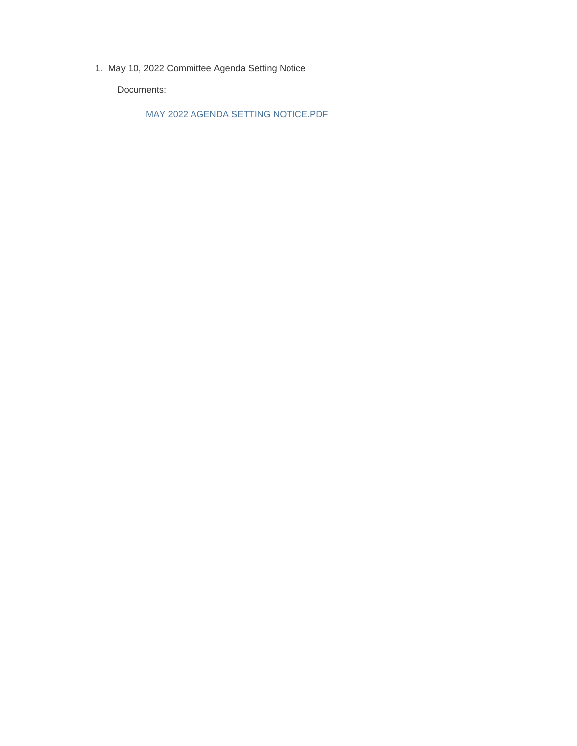1. May 10, 2022 Committee Agenda Setting Notice

Documents:

MAY 2022 AGENDA SETTING NOTICE.PDF